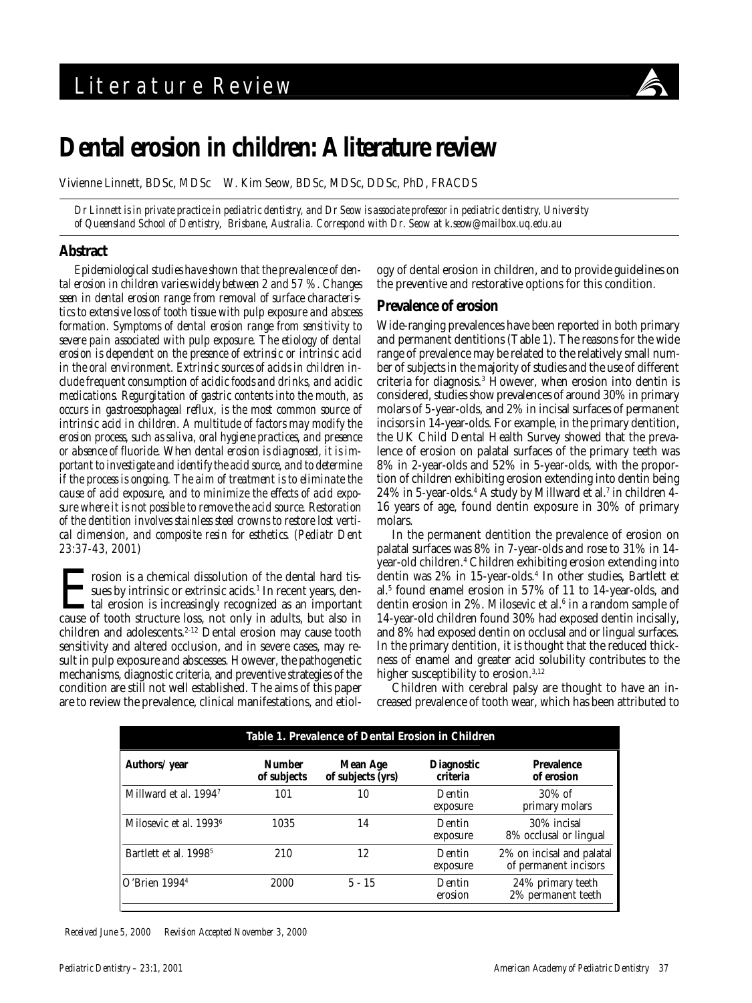

# **Dental erosion in children: A literature review**

Vivienne Linnett, BDSc, MDSc W. Kim Seow, BDSc, MDSc, DDSc, PhD, FRACDS

*Dr Linnett is in private practice in pediatric dentistry, and Dr Seow is associate professor in pediatric dentistry, University of Queensland School of Dentistry, Brisbane, Australia. Correspond with Dr. Seow at k.seow@mailbox.uq.edu.au*

## **Abstract**

*Epidemiological studies have shown that the prevalence of dental erosion in children varies widely between 2 and 57 %. Changes seen in dental erosion range from removal of surface characteristics to extensive loss of tooth tissue with pulp exposure and abscess formation. Symptoms of dental erosion range from sensitivity to severe pain associated with pulp exposure. The etiology of dental erosion is dependent on the presence of extrinsic or intrinsic acid in the oral environment. Extrinsic sources of acids in children include frequent consumption of acidic foods and drinks, and acidic medications. Regurgitation of gastric contents into the mouth, as occurs in gastroesophageal reflux, is the most common source of intrinsic acid in children. A multitude of factors may modify the erosion process, such as saliva, oral hygiene practices, and presence or absence of fluoride. When dental erosion is diagnosed, it is important to investigate and identify the acid source, and to determine if the process is ongoing. The aim of treatment is to eliminate the cause of acid exposure, and to minimize the effects of acid exposure where it is not possible to remove the acid source. Restoration of the dentition involves stainless steel crowns to restore lost vertical dimension, and composite resin for esthetics. (Pediatr Dent 23:37-43, 2001)*

Frosion is a chemical dissolution of the dental hard tis-<br>sues by intrinsic or extrinsic acids.<sup>1</sup> In recent years, dental erosion is increasingly recognized as an important<br>cause of tooth structure loss, not only in adult sues by intrinsic or extrinsic acids.<sup>1</sup> In recent years, dental erosion is increasingly recognized as an important cause of tooth structure loss, not only in adults, but also in children and adolescents.<sup>2-12</sup> Dental erosion may cause tooth sensitivity and altered occlusion, and in severe cases, may result in pulp exposure and abscesses. However, the pathogenetic mechanisms, diagnostic criteria, and preventive strategies of the condition are still not well established. The aims of this paper are to review the prevalence, clinical manifestations, and etiology of dental erosion in children, and to provide guidelines on the preventive and restorative options for this condition.

#### **Prevalence of erosion**

Wide-ranging prevalences have been reported in both primary and permanent dentitions (Table 1). The reasons for the wide range of prevalence may be related to the relatively small number of subjects in the majority of studies and the use of different criteria for diagnosis.3 However, when erosion into dentin is considered, studies show prevalences of around 30% in primary molars of 5-year-olds, and 2% in incisal surfaces of permanent incisors in 14-year-olds. For example, in the primary dentition, the UK Child Dental Health Survey showed that the prevalence of erosion on palatal surfaces of the primary teeth was 8% in 2-year-olds and 52% in 5-year-olds, with the proportion of children exhibiting erosion extending into dentin being 24% in 5-year-olds.<sup>4</sup> A study by Millward et al.<sup>7</sup> in children 4-16 years of age, found dentin exposure in 30% of primary molars.

In the permanent dentition the prevalence of erosion on palatal surfaces was 8% in 7-year-olds and rose to 31% in 14 year-old children.4 Children exhibiting erosion extending into dentin was 2% in 15-year-olds.<sup>4</sup> In other studies, Bartlett et al.5 found enamel erosion in 57% of 11 to 14-year-olds, and dentin erosion in 2%. Milosevic et al.<sup>6</sup> in a random sample of 14-year-old children found 30% had exposed dentin incisally, and 8% had exposed dentin on occlusal and or lingual surfaces. In the primary dentition, it is thought that the reduced thickness of enamel and greater acid solubility contributes to the higher susceptibility to erosion.<sup>3,12</sup>

Children with cerebral palsy are thought to have an increased prevalence of tooth wear, which has been attributed to

| Table 1. Prevalence of Dental Erosion in Children |                              |                                      |                               |                                                    |
|---------------------------------------------------|------------------------------|--------------------------------------|-------------------------------|----------------------------------------------------|
| Authors/ year                                     | <b>Number</b><br>of subjects | <b>Mean Age</b><br>of subjects (yrs) | <b>Diagnostic</b><br>criteria | <b>Prevalence</b><br>of erosion                    |
| Millward et al. 19947                             | 101                          | 10                                   | Dentin<br>exposure            | $30\%$ of<br>primary molars                        |
| Milosevic et al. 1993 <sup>6</sup>                | 1035                         | 14                                   | Dentin<br>exposure            | 30% incisal<br>8% occlusal or lingual              |
| Bartlett et al. 1998 <sup>5</sup>                 | 210                          | 12                                   | Dentin<br>exposure            | 2% on incisal and palatal<br>of permanent incisors |
| $O'$ Brien 1994 <sup>4</sup>                      | 2000                         | $5 - 15$                             | Dentin<br>erosion             | 24% primary teeth<br>2% permanent teeth            |

*Received June 5, 2000 Revision Accepted November 3, 2000*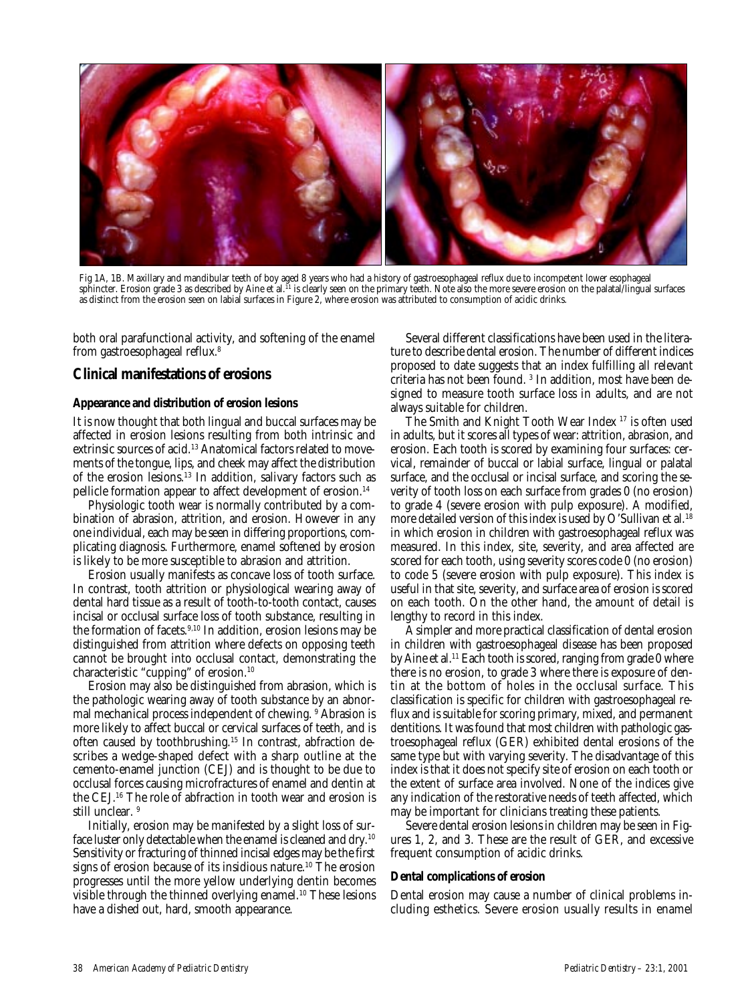

Fig 1A, 1B. Maxillary and mandibular teeth of boy aged 8 years who had a history of gastroesophageal reflux due to incompetent lower esophageal sphincter. Erosion grade 3 as described by Aine et al.11 is clearly seen on the primary teeth. Note also the more severe erosion on the palatal/lingual surfaces as distinct from the erosion seen on labial surfaces in Figure 2, where erosion was attributed to consumption of acidic drinks.

both oral parafunctional activity, and softening of the enamel from gastroesophageal reflux.8

## **Clinical manifestations of erosions**

#### **Appearance and distribution of erosion lesions**

It is now thought that both lingual and buccal surfaces may be affected in erosion lesions resulting from both intrinsic and extrinsic sources of acid.<sup>13</sup> Anatomical factors related to movements of the tongue, lips, and cheek may affect the distribution of the erosion lesions.13 In addition, salivary factors such as pellicle formation appear to affect development of erosion.14

Physiologic tooth wear is normally contributed by a combination of abrasion, attrition, and erosion. However in any one individual, each may be seen in differing proportions, complicating diagnosis. Furthermore, enamel softened by erosion is likely to be more susceptible to abrasion and attrition.

Erosion usually manifests as concave loss of tooth surface. In contrast, tooth attrition or physiological wearing away of dental hard tissue as a result of tooth-to-tooth contact, causes incisal or occlusal surface loss of tooth substance, resulting in the formation of facets.<sup>9,10</sup> In addition, erosion lesions may be distinguished from attrition where defects on opposing teeth cannot be brought into occlusal contact, demonstrating the characteristic "cupping" of erosion.10

Erosion may also be distinguished from abrasion, which is the pathologic wearing away of tooth substance by an abnormal mechanical process independent of chewing. <sup>9</sup> Abrasion is more likely to affect buccal or cervical surfaces of teeth, and is often caused by toothbrushing.15 In contrast, abfraction describes a wedge-shaped defect with a sharp outline at the cemento-enamel junction (CEJ) and is thought to be due to occlusal forces causing microfractures of enamel and dentin at the CEJ.16 The role of abfraction in tooth wear and erosion is still unclear.<sup>9</sup>

Initially, erosion may be manifested by a slight loss of surface luster only detectable when the enamel is cleaned and dry.<sup>10</sup> Sensitivity or fracturing of thinned incisal edges may be the first signs of erosion because of its insidious nature.<sup>10</sup> The erosion progresses until the more yellow underlying dentin becomes visible through the thinned overlying enamel.10 These lesions have a dished out, hard, smooth appearance.

Several different classifications have been used in the literature to describe dental erosion. The number of different indices proposed to date suggests that an index fulfilling all relevant criteria has not been found. 3 In addition, most have been designed to measure tooth surface loss in adults, and are not always suitable for children.

The Smith and Knight Tooth Wear Index 17 is often used in adults, but it scores all types of wear: attrition, abrasion, and erosion. Each tooth is scored by examining four surfaces: cervical, remainder of buccal or labial surface, lingual or palatal surface, and the occlusal or incisal surface, and scoring the severity of tooth loss on each surface from grades 0 (no erosion) to grade 4 (severe erosion with pulp exposure). A modified, more detailed version of this index is used by O'Sullivan et al.<sup>18</sup> in which erosion in children with gastroesophageal reflux was measured. In this index, site, severity, and area affected are scored for each tooth, using severity scores code 0 (no erosion) to code 5 (severe erosion with pulp exposure). This index is useful in that site, severity, and surface area of erosion is scored on each tooth. On the other hand, the amount of detail is lengthy to record in this index.

A simpler and more practical classification of dental erosion in children with gastroesophageal disease has been proposed by Aine et al.<sup>11</sup> Each tooth is scored, ranging from grade 0 where there is no erosion, to grade 3 where there is exposure of dentin at the bottom of holes in the occlusal surface. This classification is specific for children with gastroesophageal reflux and is suitable for scoring primary, mixed, and permanent dentitions. It was found that most children with pathologic gastroesophageal reflux (GER) exhibited dental erosions of the same type but with varying severity. The disadvantage of this index is that it does not specify site of erosion on each tooth or the extent of surface area involved. None of the indices give any indication of the restorative needs of teeth affected, which may be important for clinicians treating these patients.

Severe dental erosion lesions in children may be seen in Figures 1, 2, and 3. These are the result of GER, and excessive frequent consumption of acidic drinks.

#### **Dental complications of erosion**

Dental erosion may cause a number of clinical problems including esthetics. Severe erosion usually results in enamel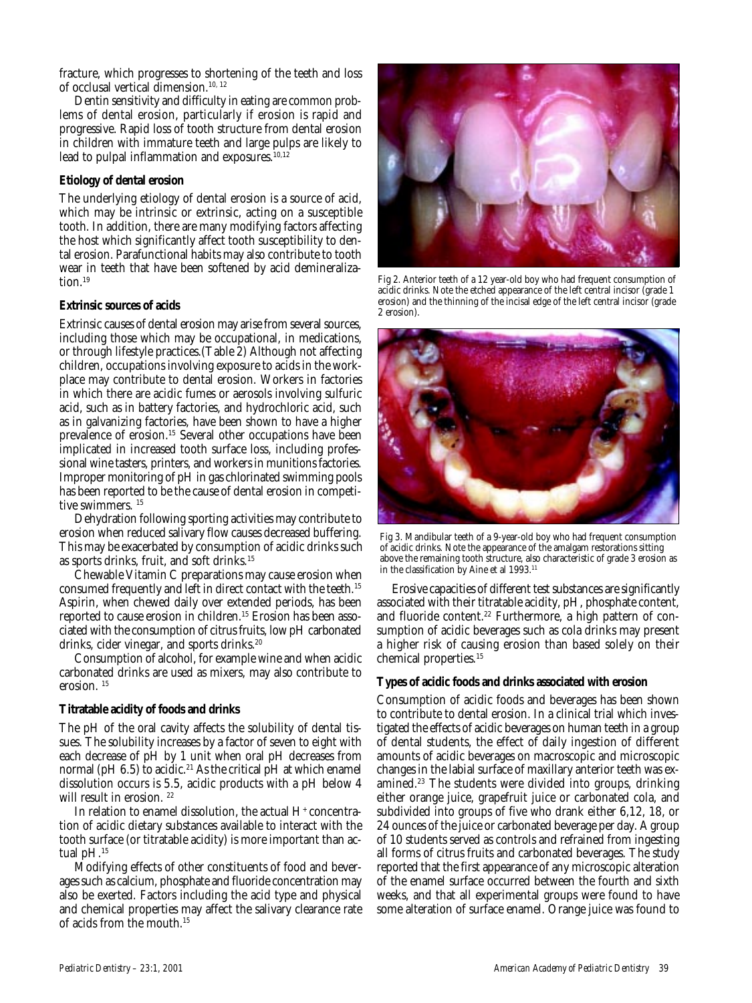fracture, which progresses to shortening of the teeth and loss of occlusal vertical dimension.10, 12

Dentin sensitivity and difficulty in eating are common problems of dental erosion, particularly if erosion is rapid and progressive. Rapid loss of tooth structure from dental erosion in children with immature teeth and large pulps are likely to lead to pulpal inflammation and exposures.<sup>10,12</sup>

#### **Etiology of dental erosion**

The underlying etiology of dental erosion is a source of acid, which may be intrinsic or extrinsic, acting on a susceptible tooth. In addition, there are many modifying factors affecting the host which significantly affect tooth susceptibility to dental erosion. Parafunctional habits may also contribute to tooth wear in teeth that have been softened by acid demineralization.19

#### **Extrinsic sources of acids**

Extrinsic causes of dental erosion may arise from several sources, including those which may be occupational, in medications, or through lifestyle practices.(Table 2) Although not affecting children, occupations involving exposure to acids in the workplace may contribute to dental erosion. Workers in factories in which there are acidic fumes or aerosols involving sulfuric acid, such as in battery factories, and hydrochloric acid, such as in galvanizing factories, have been shown to have a higher prevalence of erosion.<sup>15</sup> Several other occupations have been implicated in increased tooth surface loss, including professional wine tasters, printers, and workers in munitions factories. Improper monitoring of pH in gas chlorinated swimming pools has been reported to be the cause of dental erosion in competitive swimmers.<sup>15</sup>

Dehydration following sporting activities may contribute to erosion when reduced salivary flow causes decreased buffering. This may be exacerbated by consumption of acidic drinks such as sports drinks, fruit, and soft drinks.15

Chewable Vitamin C preparations may cause erosion when consumed frequently and left in direct contact with the teeth.<sup>15</sup> Aspirin, when chewed daily over extended periods, has been reported to cause erosion in children.15 Erosion has been associated with the consumption of citrus fruits, low pH carbonated drinks, cider vinegar, and sports drinks.<sup>20</sup>

Consumption of alcohol, for example wine and when acidic carbonated drinks are used as mixers, may also contribute to erosion. 15

#### **Titratable acidity of foods and drinks**

The pH of the oral cavity affects the solubility of dental tissues. The solubility increases by a factor of seven to eight with each decrease of pH by 1 unit when oral pH decreases from normal ( $pH$  6.5) to acidic.<sup>21</sup> As the critical  $pH$  at which enamel dissolution occurs is 5.5, acidic products with a pH below 4 will result in erosion.<sup>22</sup>

In relation to enamel dissolution, the actual  $\mathrm{H}^*$  concentration of acidic dietary substances available to interact with the tooth surface (or titratable acidity) is more important than actual pH.15

Modifying effects of other constituents of food and beverages such as calcium, phosphate and fluoride concentration may also be exerted. Factors including the acid type and physical and chemical properties may affect the salivary clearance rate of acids from the mouth.15



Fig 2. Anterior teeth of a 12 year-old boy who had frequent consumption of acidic drinks. Note the etched appearance of the left central incisor (grade 1 erosion) and the thinning of the incisal edge of the left central incisor (grade 2 erosion).



Fig 3. Mandibular teeth of a 9-year-old boy who had frequent consumption of acidic drinks. Note the appearance of the amalgam restorations sitting above the remaining tooth structure, also characteristic of grade 3 erosion as in the classification by Aine et al 1993.<sup>11</sup>

Erosive capacities of different test substances are significantly associated with their titratable acidity, pH, phosphate content, and fluoride content.<sup>22</sup> Furthermore, a high pattern of consumption of acidic beverages such as cola drinks may present a higher risk of causing erosion than based solely on their chemical properties.15

#### **Types of acidic foods and drinks associated with erosion**

Consumption of acidic foods and beverages has been shown to contribute to dental erosion. In a clinical trial which investigated the effects of acidic beverages on human teeth in a group of dental students, the effect of daily ingestion of different amounts of acidic beverages on macroscopic and microscopic changes in the labial surface of maxillary anterior teeth was examined.<sup>23</sup> The students were divided into groups, drinking either orange juice, grapefruit juice or carbonated cola, and subdivided into groups of five who drank either 6,12, 18, or 24 ounces of the juice or carbonated beverage per day. A group of 10 students served as controls and refrained from ingesting all forms of citrus fruits and carbonated beverages. The study reported that the first appearance of any microscopic alteration of the enamel surface occurred between the fourth and sixth weeks, and that all experimental groups were found to have some alteration of surface enamel. Orange juice was found to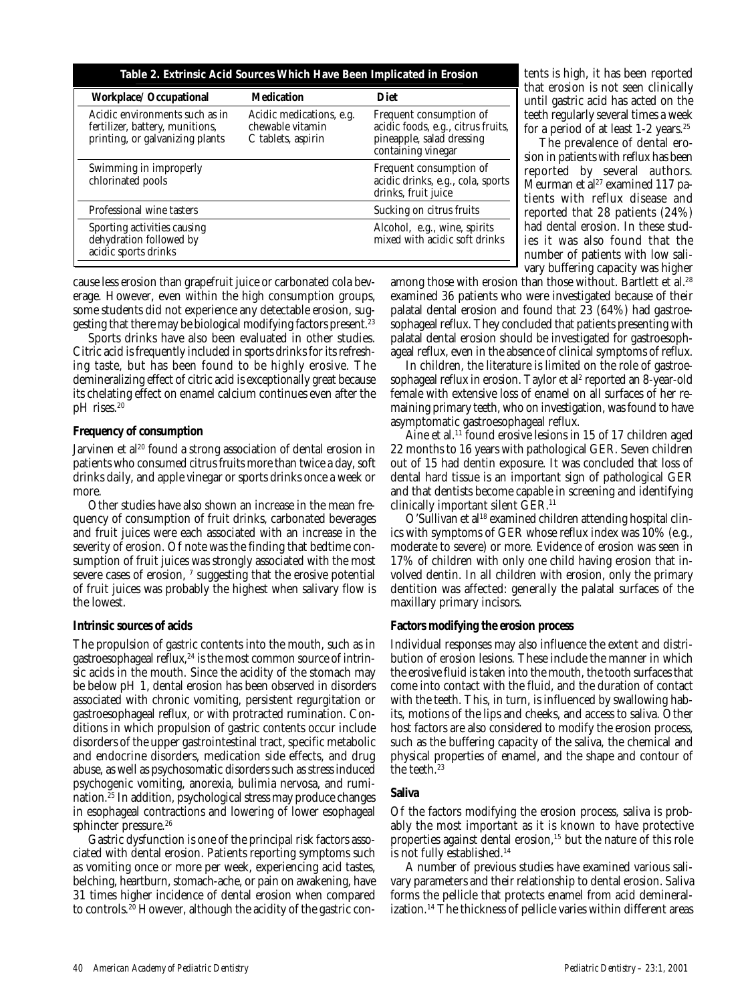| Table 2. Extrinsic Acid Sources Which Have Been Implicated in Erosion                                |                                                                    |                                                                                                                  |  |  |
|------------------------------------------------------------------------------------------------------|--------------------------------------------------------------------|------------------------------------------------------------------------------------------------------------------|--|--|
| <b>Workplace/ Occupational</b>                                                                       | <b>Medication</b>                                                  | <b>Diet</b>                                                                                                      |  |  |
| Acidic environments such as in<br>fertilizer, battery, munitions,<br>printing, or galvanizing plants | Acidic medications, e.g.<br>chewable vitamin<br>C tablets, aspirin | Frequent consumption of<br>acidic foods, e.g., citrus fruits,<br>pineapple, salad dressing<br>containing vinegar |  |  |
| Swimming in improperly<br>chlorinated pools                                                          |                                                                    | Frequent consumption of<br>acidic drinks, e.g., cola, sports<br>drinks, fruit juice                              |  |  |
| Professional wine tasters                                                                            |                                                                    | Sucking on citrus fruits                                                                                         |  |  |
| Sporting activities causing<br>dehydration followed by<br>acidic sports drinks                       |                                                                    | Alcohol, e.g., wine, spirits<br>mixed with acidic soft drinks                                                    |  |  |

cause less erosion than grapefruit juice or carbonated cola beverage. However, even within the high consumption groups, some students did not experience any detectable erosion, suggesting that there may be biological modifying factors present.<sup>23</sup>

Sports drinks have also been evaluated in other studies. Citric acid is frequently included in sports drinks for its refreshing taste, but has been found to be highly erosive. The demineralizing effect of citric acid is exceptionally great because its chelating effect on enamel calcium continues even after the pH rises.<sup>20</sup>

#### **Frequency of consumption**

Jarvinen et al<sup>20</sup> found a strong association of dental erosion in patients who consumed citrus fruits more than twice a day, soft drinks daily, and apple vinegar or sports drinks once a week or more.

Other studies have also shown an increase in the mean frequency of consumption of fruit drinks, carbonated beverages and fruit juices were each associated with an increase in the severity of erosion. Of note was the finding that bedtime consumption of fruit juices was strongly associated with the most severe cases of erosion,  $^\text{\tiny{7}}$  suggesting that the erosive potential of fruit juices was probably the highest when salivary flow is the lowest.

## **Intrinsic sources of acids**

The propulsion of gastric contents into the mouth, such as in gastroesophageal reflux, $24$  is the most common source of intrinsic acids in the mouth. Since the acidity of the stomach may be below pH 1, dental erosion has been observed in disorders associated with chronic vomiting, persistent regurgitation or gastroesophageal reflux, or with protracted rumination. Conditions in which propulsion of gastric contents occur include disorders of the upper gastrointestinal tract, specific metabolic and endocrine disorders, medication side effects, and drug abuse, as well as psychosomatic disorders such as stress induced psychogenic vomiting, anorexia, bulimia nervosa, and rumination.25 In addition, psychological stress may produce changes in esophageal contractions and lowering of lower esophageal sphincter pressure.<sup>26</sup>

Gastric dysfunction is one of the principal risk factors associated with dental erosion. Patients reporting symptoms such as vomiting once or more per week, experiencing acid tastes, belching, heartburn, stomach-ache, or pain on awakening, have 31 times higher incidence of dental erosion when compared to controls.20 However, although the acidity of the gastric contents is high, it has been reported that erosion is not seen clinically until gastric acid has acted on the teeth regularly several times a week for a period of at least 1-2 years.<sup>25</sup>

The prevalence of dental erosion in patients with reflux has been reported by several authors. Meurman et al<sup>27</sup> examined 117 patients with reflux disease and reported that 28 patients (24%) had dental erosion. In these studies it was also found that the number of patients with low salivary buffering capacity was higher

among those with erosion than those without. Bartlett et al.<sup>28</sup> examined 36 patients who were investigated because of their palatal dental erosion and found that 23 (64%) had gastroesophageal reflux. They concluded that patients presenting with palatal dental erosion should be investigated for gastroesophageal reflux, even in the absence of clinical symptoms of reflux.

In children, the literature is limited on the role of gastroesophageal reflux in erosion. Taylor et al<sup>2</sup> reported an 8-year-old female with extensive loss of enamel on all surfaces of her remaining primary teeth, who on investigation, was found to have asymptomatic gastroesophageal reflux.

Aine et al.<sup>11</sup> found erosive lesions in 15 of 17 children aged 22 months to 16 years with pathological GER. Seven children out of 15 had dentin exposure. It was concluded that loss of dental hard tissue is an important sign of pathological GER and that dentists become capable in screening and identifying clinically important silent GER.11

O'Sullivan et al<sup>18</sup> examined children attending hospital clinics with symptoms of GER whose reflux index was 10% (e.g., moderate to severe) or more. Evidence of erosion was seen in 17% of children with only one child having erosion that involved dentin. In all children with erosion, only the primary dentition was affected: generally the palatal surfaces of the maxillary primary incisors.

## **Factors modifying the erosion process**

Individual responses may also influence the extent and distribution of erosion lesions. These include the manner in which the erosive fluid is taken into the mouth, the tooth surfaces that come into contact with the fluid, and the duration of contact with the teeth. This, in turn, is influenced by swallowing habits, motions of the lips and cheeks, and access to saliva. Other host factors are also considered to modify the erosion process, such as the buffering capacity of the saliva, the chemical and physical properties of enamel, and the shape and contour of the teeth.23

#### **Saliva**

Of the factors modifying the erosion process, saliva is probably the most important as it is known to have protective properties against dental erosion,<sup>15</sup> but the nature of this role is not fully established.<sup>14</sup>

A number of previous studies have examined various salivary parameters and their relationship to dental erosion. Saliva forms the pellicle that protects enamel from acid demineralization.<sup>14</sup> The thickness of pellicle varies within different areas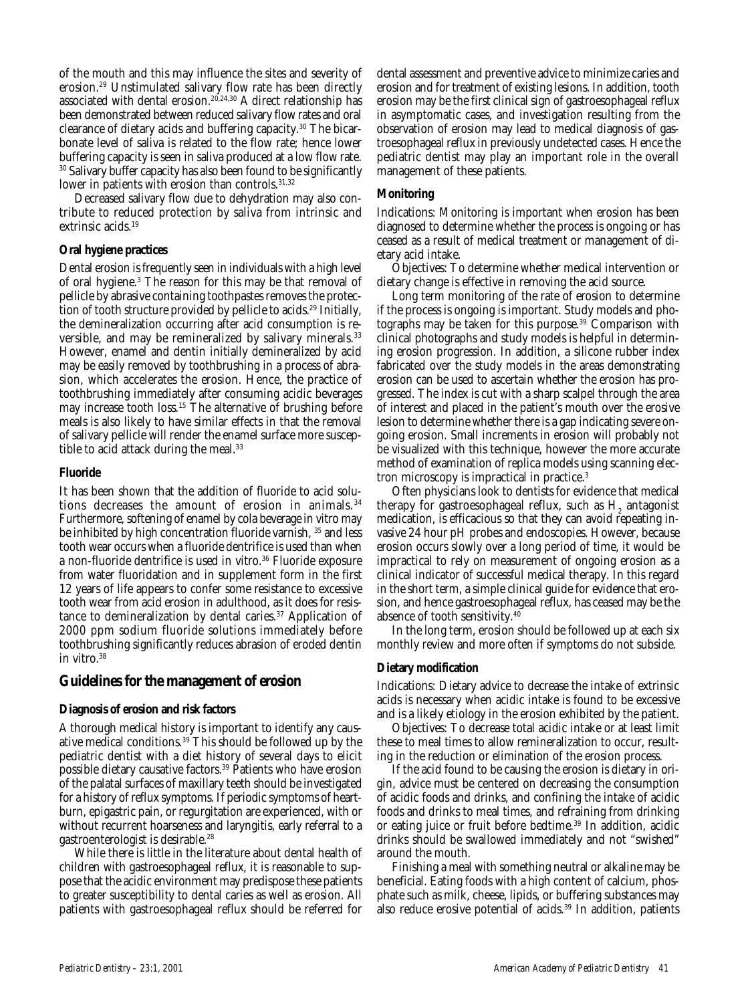of the mouth and this may influence the sites and severity of erosion.29 Unstimulated salivary flow rate has been directly associated with dental erosion.<sup>20,24,30</sup> A direct relationship has been demonstrated between reduced salivary flow rates and oral clearance of dietary acids and buffering capacity.30 The bicarbonate level of saliva is related to the flow rate; hence lower buffering capacity is seen in saliva produced at a low flow rate. <sup>30</sup> Salivary buffer capacity has also been found to be significantly lower in patients with erosion than controls.<sup>31,32</sup>

Decreased salivary flow due to dehydration may also contribute to reduced protection by saliva from intrinsic and extrinsic acids.<sup>19</sup>

#### **Oral hygiene practices**

Dental erosion is frequently seen in individuals with a high level of oral hygiene.3 The reason for this may be that removal of pellicle by abrasive containing toothpastes removes the protection of tooth structure provided by pellicle to acids.<sup>29</sup> Initially, the demineralization occurring after acid consumption is reversible, and may be remineralized by salivary minerals.<sup>33</sup> However, enamel and dentin initially demineralized by acid may be easily removed by toothbrushing in a process of abrasion, which accelerates the erosion. Hence, the practice of toothbrushing immediately after consuming acidic beverages may increase tooth loss.<sup>15</sup> The alternative of brushing before meals is also likely to have similar effects in that the removal of salivary pellicle will render the enamel surface more susceptible to acid attack during the meal.<sup>33</sup>

#### **Fluoride**

It has been shown that the addition of fluoride to acid solutions decreases the amount of erosion in animals.<sup>34</sup> Furthermore, softening of enamel by cola beverage in vitro may be inhibited by high concentration fluoride varnish, 35 and less tooth wear occurs when a fluoride dentrifice is used than when a non-fluoride dentrifice is used in vitro.<sup>36</sup> Fluoride exposure from water fluoridation and in supplement form in the first 12 years of life appears to confer some resistance to excessive tooth wear from acid erosion in adulthood, as it does for resistance to demineralization by dental caries.<sup>37</sup> Application of 2000 ppm sodium fluoride solutions immediately before toothbrushing significantly reduces abrasion of eroded dentin in vitro.38

## **Guidelines for the management of erosion**

## **Diagnosis of erosion and risk factors**

A thorough medical history is important to identify any causative medical conditions.<sup>39</sup> This should be followed up by the pediatric dentist with a diet history of several days to elicit possible dietary causative factors.<sup>39</sup> Patients who have erosion of the palatal surfaces of maxillary teeth should be investigated for a history of reflux symptoms. If periodic symptoms of heartburn, epigastric pain, or regurgitation are experienced, with or without recurrent hoarseness and laryngitis, early referral to a gastroenterologist is desirable.28

While there is little in the literature about dental health of children with gastroesophageal reflux, it is reasonable to suppose that the acidic environment may predispose these patients to greater susceptibility to dental caries as well as erosion. All patients with gastroesophageal reflux should be referred for

dental assessment and preventive advice to minimize caries and erosion and for treatment of existing lesions. In addition, tooth erosion may be the first clinical sign of gastroesophageal reflux in asymptomatic cases, and investigation resulting from the observation of erosion may lead to medical diagnosis of gastroesophageal reflux in previously undetected cases. Hence the pediatric dentist may play an important role in the overall management of these patients.

#### **Monitoring**

Indications: Monitoring is important when erosion has been diagnosed to determine whether the process is ongoing or has ceased as a result of medical treatment or management of dietary acid intake.

Objectives: To determine whether medical intervention or dietary change is effective in removing the acid source.

Long term monitoring of the rate of erosion to determine if the process is ongoing is important. Study models and photographs may be taken for this purpose.<sup>39</sup> Comparison with clinical photographs and study models is helpful in determining erosion progression. In addition, a silicone rubber index fabricated over the study models in the areas demonstrating erosion can be used to ascertain whether the erosion has progressed. The index is cut with a sharp scalpel through the area of interest and placed in the patient's mouth over the erosive lesion to determine whether there is a gap indicating severe ongoing erosion. Small increments in erosion will probably not be visualized with this technique, however the more accurate method of examination of replica models using scanning electron microscopy is impractical in practice.3

Often physicians look to dentists for evidence that medical therapy for gastroesophageal reflux, such as  $\mathrm{H}_\mathrm{2}$  antagonist medication, is efficacious so that they can avoid repeating invasive 24 hour pH probes and endoscopies. However, because erosion occurs slowly over a long period of time, it would be impractical to rely on measurement of ongoing erosion as a clinical indicator of successful medical therapy. In this regard in the short term, a simple clinical guide for evidence that erosion, and hence gastroesophageal reflux, has ceased may be the absence of tooth sensitivity.40

In the long term, erosion should be followed up at each six monthly review and more often if symptoms do not subside.

## **Dietary modification**

Indications: Dietary advice to decrease the intake of extrinsic acids is necessary when acidic intake is found to be excessive and is a likely etiology in the erosion exhibited by the patient.

Objectives: To decrease total acidic intake or at least limit these to meal times to allow remineralization to occur, resulting in the reduction or elimination of the erosion process.

If the acid found to be causing the erosion is dietary in origin, advice must be centered on decreasing the consumption of acidic foods and drinks, and confining the intake of acidic foods and drinks to meal times, and refraining from drinking or eating juice or fruit before bedtime.39 In addition, acidic drinks should be swallowed immediately and not "swished" around the mouth.

Finishing a meal with something neutral or alkaline may be beneficial. Eating foods with a high content of calcium, phosphate such as milk, cheese, lipids, or buffering substances may also reduce erosive potential of acids.<sup>39</sup> In addition, patients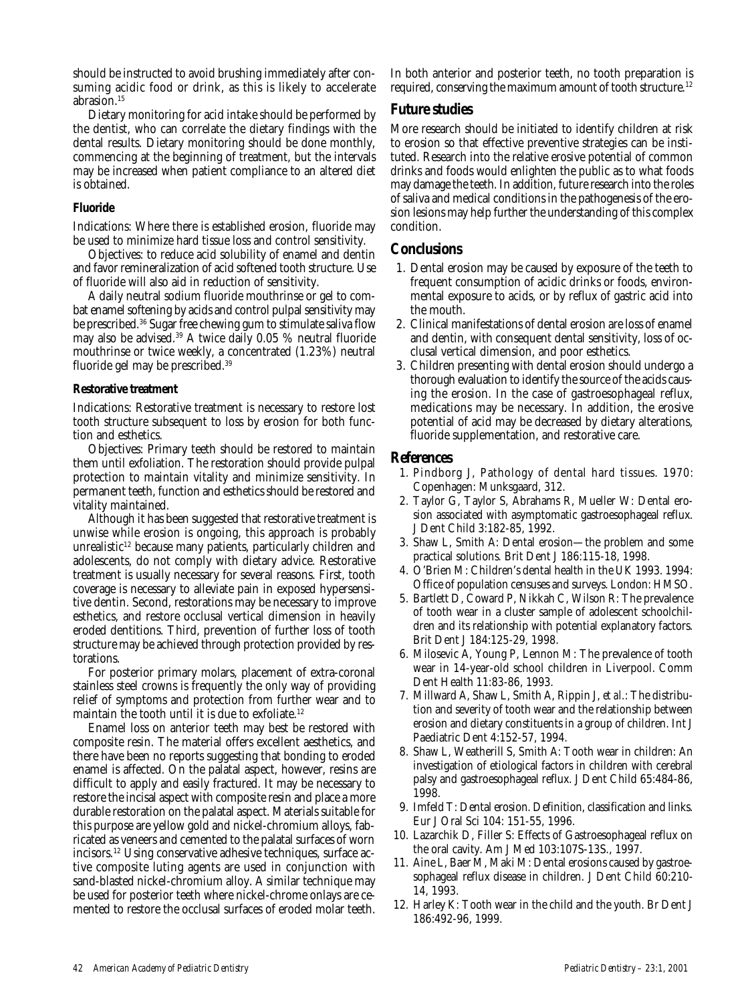should be instructed to avoid brushing immediately after consuming acidic food or drink, as this is likely to accelerate abrasion.15

Dietary monitoring for acid intake should be performed by the dentist, who can correlate the dietary findings with the dental results. Dietary monitoring should be done monthly, commencing at the beginning of treatment, but the intervals may be increased when patient compliance to an altered diet is obtained.

#### **Fluoride**

Indications: Where there is established erosion, fluoride may be used to minimize hard tissue loss and control sensitivity.

Objectives: to reduce acid solubility of enamel and dentin and favor remineralization of acid softened tooth structure. Use of fluoride will also aid in reduction of sensitivity.

A daily neutral sodium fluoride mouthrinse or gel to combat enamel softening by acids and control pulpal sensitivity may be prescribed.36 Sugar free chewing gum to stimulate saliva flow may also be advised.39 A twice daily 0.05 % neutral fluoride mouthrinse or twice weekly, a concentrated (1.23%) neutral fluoride gel may be prescribed.39

#### **Restorative treatment**

Indications: Restorative treatment is necessary to restore lost tooth structure subsequent to loss by erosion for both function and esthetics.

Objectives: Primary teeth should be restored to maintain them until exfoliation. The restoration should provide pulpal protection to maintain vitality and minimize sensitivity. In permanent teeth, function and esthetics should be restored and vitality maintained.

Although it has been suggested that restorative treatment is unwise while erosion is ongoing, this approach is probably unrealistic<sup>12</sup> because many patients, particularly children and adolescents, do not comply with dietary advice. Restorative treatment is usually necessary for several reasons. First, tooth coverage is necessary to alleviate pain in exposed hypersensitive dentin. Second, restorations may be necessary to improve esthetics, and restore occlusal vertical dimension in heavily eroded dentitions. Third, prevention of further loss of tooth structure may be achieved through protection provided by restorations.

For posterior primary molars, placement of extra-coronal stainless steel crowns is frequently the only way of providing relief of symptoms and protection from further wear and to maintain the tooth until it is due to exfoliate.12

Enamel loss on anterior teeth may best be restored with composite resin. The material offers excellent aesthetics, and there have been no reports suggesting that bonding to eroded enamel is affected. On the palatal aspect, however, resins are difficult to apply and easily fractured. It may be necessary to restore the incisal aspect with composite resin and place a more durable restoration on the palatal aspect. Materials suitable for this purpose are yellow gold and nickel-chromium alloys, fabricated as veneers and cemented to the palatal surfaces of worn incisors.12 Using conservative adhesive techniques, surface active composite luting agents are used in conjunction with sand-blasted nickel-chromium alloy. A similar technique may be used for posterior teeth where nickel-chrome onlays are cemented to restore the occlusal surfaces of eroded molar teeth.

In both anterior and posterior teeth, no tooth preparation is required, conserving the maximum amount of tooth structure.<sup>12</sup>

## **Future studies**

More research should be initiated to identify children at risk to erosion so that effective preventive strategies can be instituted. Research into the relative erosive potential of common drinks and foods would enlighten the public as to what foods may damage the teeth. In addition, future research into the roles of saliva and medical conditions in the pathogenesis of the erosion lesions may help further the understanding of this complex condition.

## **Conclusions**

- 1. Dental erosion may be caused by exposure of the teeth to frequent consumption of acidic drinks or foods, environmental exposure to acids, or by reflux of gastric acid into the mouth.
- 2. Clinical manifestations of dental erosion are loss of enamel and dentin, with consequent dental sensitivity, loss of occlusal vertical dimension, and poor esthetics.
- 3. Children presenting with dental erosion should undergo a thorough evaluation to identify the source of the acids causing the erosion. In the case of gastroesophageal reflux, medications may be necessary. In addition, the erosive potential of acid may be decreased by dietary alterations, fluoride supplementation, and restorative care.

## **References**

- 1. Pindborg J, Pathology of dental hard tissues. 1970: Copenhagen: Munksgaard, 312.
- 2. Taylor G, Taylor S, Abrahams R, Mueller W: Dental erosion associated with asymptomatic gastroesophageal reflux. J Dent Child 3:182-85, 1992.
- 3. Shaw L, Smith A: Dental erosion—the problem and some practical solutions*.* Brit Dent J 186:115-18, 1998.
- 4. O'Brien M: Children's dental health in the UK 1993. 1994: Office of population censuses and surveys. London: HMSO.
- 5. Bartlett D, Coward P, Nikkah C, Wilson R: The prevalence of tooth wear in a cluster sample of adolescent schoolchildren and its relationship with potential explanatory factors. Brit Dent J 184:125-29, 1998.
- 6. Milosevic A, Young P, Lennon M: The prevalence of tooth wear in 14-year-old school children in Liverpool. Comm Dent Health 11:83-86, 1993.
- 7. Millward A, Shaw L, Smith A, Rippin J, *et al.*: The distribution and severity of tooth wear and the relationship between erosion and dietary constituents in a group of children. Int J Paediatric Dent 4:152-57, 1994.
- 8. Shaw L, Weatherill S, Smith A: Tooth wear in children: An investigation of etiological factors in children with cerebral palsy and gastroesophageal reflux. J Dent Child 65:484-86, 1998.
- 9. Imfeld T: Dental erosion. Definition, classification and links. Eur J Oral Sci 104: 151-55, 1996.
- 10. Lazarchik D, Filler S: Effects of Gastroesophageal reflux on the oral cavity. Am J Med 103:107S-13S., 1997.
- 11. Aine L, Baer M, Maki M: Dental erosions caused by gastroesophageal reflux disease in children. J Dent Child 60:210- 14, 1993.
- 12. Harley K: Tooth wear in the child and the youth. Br Dent J 186:492-96, 1999.